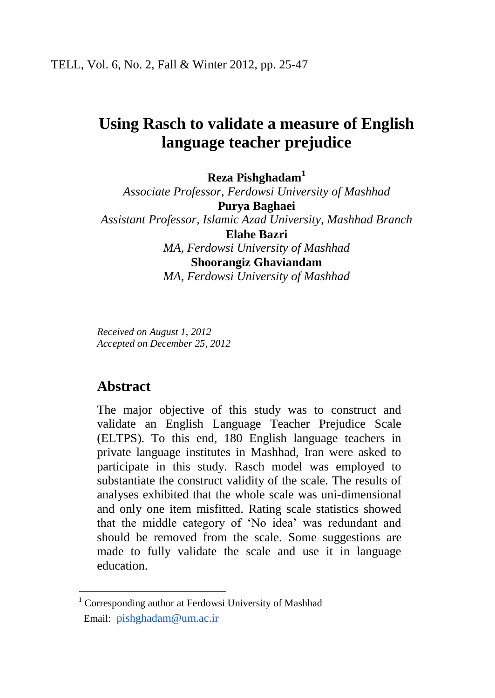# **Using Rasch to validate a measure of English language teacher prejudice**

**Reza Pishghadam<sup>1</sup>**

*Associate Professor, Ferdowsi University of Mashhad* **Purya Baghaei** *Assistant Professor, Islamic Azad University, Mashhad Branch* **Elahe Bazri** *MA, Ferdowsi University of Mashhad* **Shoorangiz Ghaviandam** *MA, Ferdowsi University of Mashhad*

*Received on August 1, 2012 Accepted on December 25, 2012*

## **Abstract**

 $\overline{a}$ 

The major objective of this study was to construct and validate an English Language Teacher Prejudice Scale (ELTPS). To this end, 180 English language teachers in private language institutes in Mashhad, Iran were asked to participate in this study. Rasch model was employed to substantiate the construct validity of the scale. The results of analyses exhibited that the whole scale was uni-dimensional and only one item misfitted. Rating scale statistics showed that the middle category of 'No idea' was redundant and should be removed from the scale. Some suggestions are made to fully validate the scale and use it in language education.

<sup>&</sup>lt;sup>1</sup> Corresponding author at Ferdowsi University of Mashhad Email: [pishghadam@um.ac.ir](mailto:pishghadam@um.ac.ir)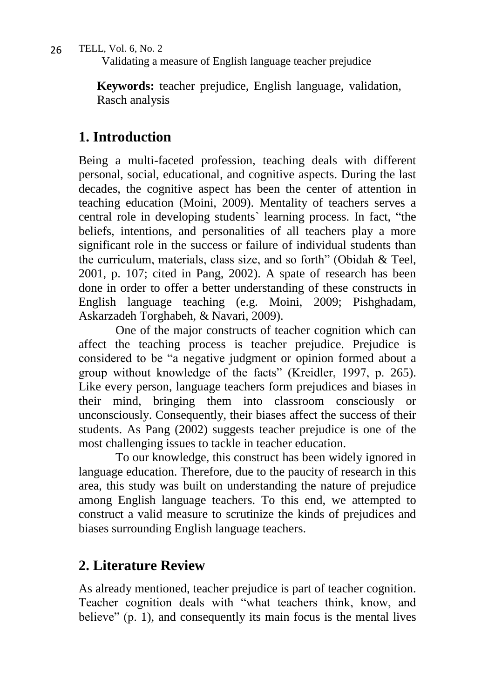Validating a measure of English language teacher prejudice

**Keywords:** teacher prejudice, English language, validation, Rasch analysis

# **1. Introduction**

Being a multi-faceted profession, teaching deals with different personal, social, educational, and cognitive aspects. During the last decades, the cognitive aspect has been the center of attention in teaching education (Moini, 2009). Mentality of teachers serves a central role in developing students` learning process. In fact, "the beliefs, intentions, and personalities of all teachers play a more significant role in the success or failure of individual students than the curriculum, materials, class size, and so forth" (Obidah & Teel, 2001, p. 107; cited in Pang, 2002). A spate of research has been done in order to offer a better understanding of these constructs in English language teaching (e.g. Moini, 2009; Pishghadam, Askarzadeh Torghabeh, & Navari, 2009).

One of the major constructs of teacher cognition which can affect the teaching process is teacher prejudice. Prejudice is considered to be "a negative judgment or opinion formed about a group without knowledge of the facts" (Kreidler, 1997, p. 265). Like every person, language teachers form prejudices and biases in their mind, bringing them into classroom consciously or unconsciously. Consequently, their biases affect the success of their students. As Pang (2002) suggests teacher prejudice is one of the most challenging issues to tackle in teacher education.

To our knowledge, this construct has been widely ignored in language education. Therefore, due to the paucity of research in this area, this study was built on understanding the nature of prejudice among English language teachers. To this end, we attempted to construct a valid measure to scrutinize the kinds of prejudices and biases surrounding English language teachers.

# **2. Literature Review**

As already mentioned, teacher prejudice is part of teacher cognition. Teacher cognition deals with "what teachers think, know, and believe" (p. 1), and consequently its main focus is the mental lives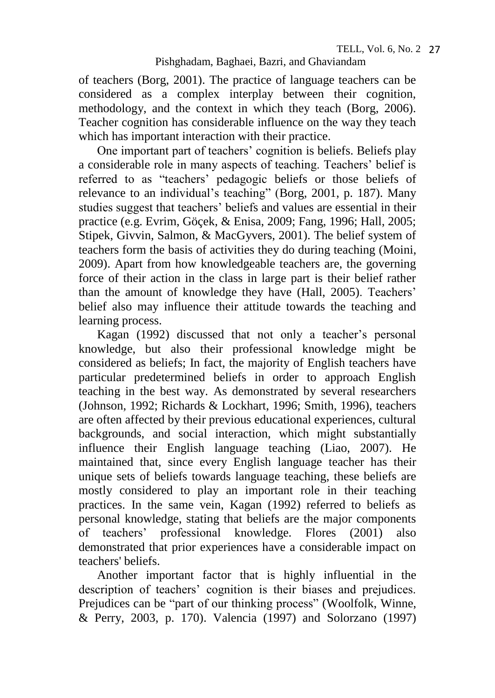of teachers (Borg, 2001). The practice of language teachers can be considered as a complex interplay between their cognition, methodology, and the context in which they teach (Borg, 2006). Teacher cognition has considerable influence on the way they teach which has important interaction with their practice.

One important part of teachers' cognition is beliefs. Beliefs play a considerable role in many aspects of teaching. Teachers' belief is referred to as "teachers' pedagogic beliefs or those beliefs of relevance to an individual's teaching" (Borg, 2001, p. 187). Many studies suggest that teachers' beliefs and values are essential in their practice (e.g. Evrim, Göçek, & Enisa, 2009; Fang, 1996; Hall, 2005; Stipek, Givvin, Salmon, & MacGyvers, 2001). The belief system of teachers form the basis of activities they do during teaching (Moini, 2009). Apart from how knowledgeable teachers are, the governing force of their action in the class in large part is their belief rather than the amount of knowledge they have (Hall, 2005). Teachers' belief also may influence their attitude towards the teaching and learning process.

Kagan (1992) discussed that not only a teacher's personal knowledge, but also their professional knowledge might be considered as beliefs; In fact, the majority of English teachers have particular predetermined beliefs in order to approach English teaching in the best way. As demonstrated by several researchers (Johnson, 1992; Richards & Lockhart, 1996; Smith, 1996), teachers are often affected by their previous educational experiences, cultural backgrounds, and social interaction, which might substantially influence their English language teaching (Liao, 2007). He maintained that, since every English language teacher has their unique sets of beliefs towards language teaching, these beliefs are mostly considered to play an important role in their teaching practices. In the same vein, Kagan (1992) referred to beliefs as personal knowledge, stating that beliefs are the major components of teachers' professional knowledge. Flores (2001) also demonstrated that prior experiences have a considerable impact on teachers' beliefs.

Another important factor that is highly influential in the description of teachers' cognition is their biases and prejudices. Prejudices can be "part of our thinking process" (Woolfolk, Winne, & Perry, 2003, p. 170). Valencia (1997) and Solorzano (1997)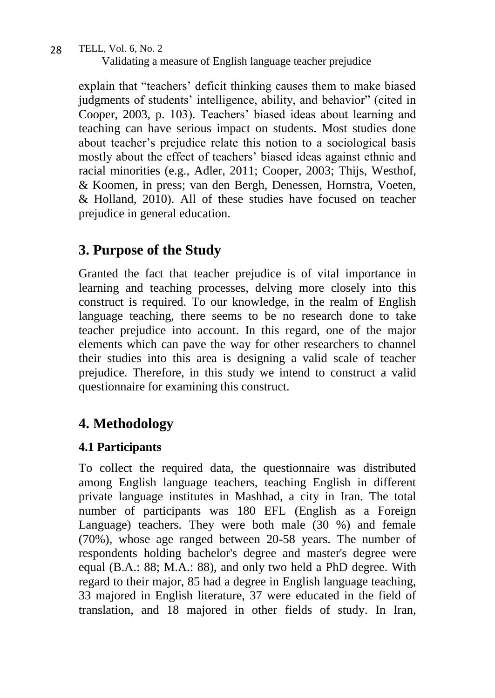Validating a measure of English language teacher prejudice

explain that "teachers' deficit thinking causes them to make biased judgments of students' intelligence, ability, and behavior" (cited in Cooper, 2003, p. 103). Teachers' biased ideas about learning and teaching can have serious impact on students. Most studies done about teacher's prejudice relate this notion to a sociological basis mostly about the effect of teachers' biased ideas against ethnic and racial minorities (e.g., Adler, 2011; Cooper, 2003; Thijs, Westhof, & Koomen, in press; van den Bergh, Denessen, Hornstra, Voeten, & Holland, 2010). All of these studies have focused on teacher prejudice in general education.

# **3. Purpose of the Study**

Granted the fact that teacher prejudice is of vital importance in learning and teaching processes, delving more closely into this construct is required. To our knowledge, in the realm of English language teaching, there seems to be no research done to take teacher prejudice into account. In this regard, one of the major elements which can pave the way for other researchers to channel their studies into this area is designing a valid scale of teacher prejudice. Therefore, in this study we intend to construct a valid questionnaire for examining this construct.

# **4. Methodology**

## **4.1 Participants**

To collect the required data, the questionnaire was distributed among English language teachers, teaching English in different private language institutes in Mashhad, a city in Iran. The total number of participants was 180 EFL (English as a Foreign Language) teachers. They were both male (30 %) and female (70%), whose age ranged between 20-58 years. The number of respondents holding bachelor's degree and master's degree were equal (B.A.: 88; M.A.: 88), and only two held a PhD degree. With regard to their major, 85 had a degree in English language teaching, 33 majored in English literature, 37 were educated in the field of translation, and 18 majored in other fields of study. In Iran,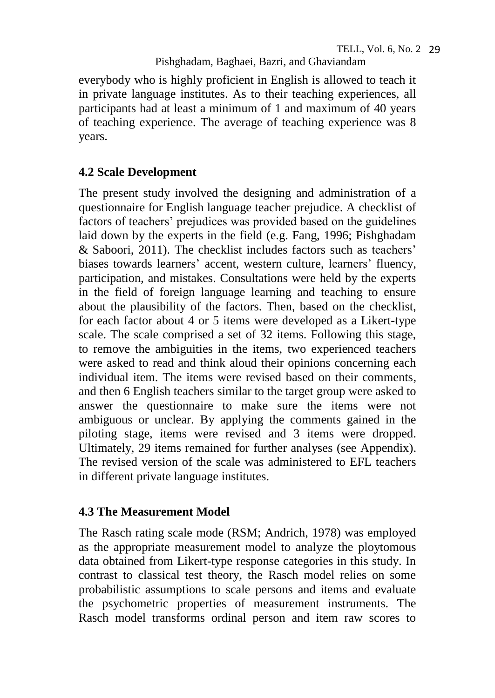everybody who is highly proficient in English is allowed to teach it in private language institutes. As to their teaching experiences, all participants had at least a minimum of 1 and maximum of 40 years of teaching experience. The average of teaching experience was 8 years.

## **4.2 Scale Development**

The present study involved the designing and administration of a questionnaire for English language teacher prejudice. A checklist of factors of teachers' prejudices was provided based on the guidelines laid down by the experts in the field (e.g. Fang, 1996; Pishghadam & Saboori, 2011). The checklist includes factors such as teachers' biases towards learners' accent, western culture, learners' fluency, participation, and mistakes. Consultations were held by the experts in the field of foreign language learning and teaching to ensure about the plausibility of the factors. Then, based on the checklist, for each factor about 4 or 5 items were developed as a Likert-type scale. The scale comprised a set of 32 items. Following this stage, to remove the ambiguities in the items, two experienced teachers were asked to read and think aloud their opinions concerning each individual item. The items were revised based on their comments, and then 6 English teachers similar to the target group were asked to answer the questionnaire to make sure the items were not ambiguous or unclear. By applying the comments gained in the piloting stage, items were revised and 3 items were dropped. Ultimately, 29 items remained for further analyses (see Appendix). The revised version of the scale was administered to EFL teachers in different private language institutes.

## **4.3 The Measurement Model**

The Rasch rating scale mode (RSM; Andrich, 1978) was employed as the appropriate measurement model to analyze the ploytomous data obtained from Likert-type response categories in this study. In contrast to classical test theory, the Rasch model relies on some probabilistic assumptions to scale persons and items and evaluate the psychometric properties of measurement instruments. The Rasch model transforms ordinal person and item raw scores to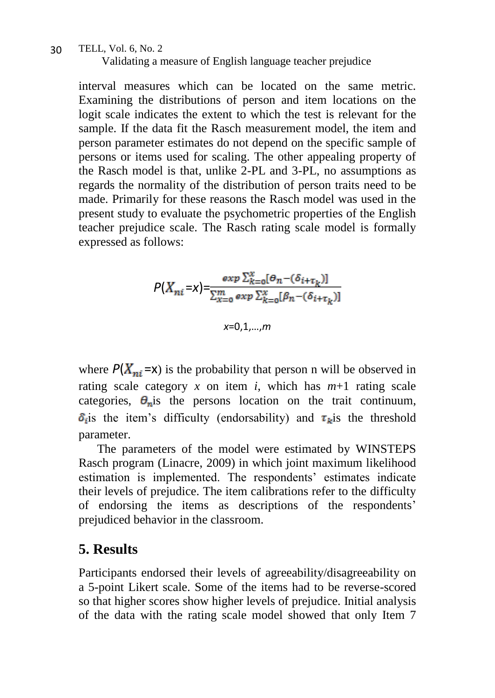#### TELL, Vol. 6, No. 2 Validating a measure of English language teacher prejudice 30

interval measures which can be located on the same metric. Examining the distributions of person and item locations on the logit scale indicates the extent to which the test is relevant for the sample. If the data fit the Rasch measurement model, the item and person parameter estimates do not depend on the specific sample of persons or items used for scaling. The other appealing property of the Rasch model is that, unlike 2-PL and 3-PL, no assumptions as regards the normality of the distribution of person traits need to be made. Primarily for these reasons the Rasch model was used in the present study to evaluate the psychometric properties of the English teacher prejudice scale. The Rasch rating scale model is formally expressed as follows:

$$
P(X_{ni} = x) = \frac{\exp \sum_{k=0}^{x} [\Theta_n - (\delta_{i+\tau_k})]}{\sum_{k=0}^{m} \exp \sum_{k=0}^{x} [\beta_n - (\delta_{i+\tau_k})]}
$$
  

$$
x = 0, 1, ..., m
$$

where  $P(X_{ni} = x)$  is the probability that person n will be observed in rating scale category  $x$  on item  $i$ , which has  $m+1$  rating scale categories,  $\theta_n$  is the persons location on the trait continuum,  $\delta_i$  is the item's difficulty (endorsability) and  $\tau_k$  is the threshold parameter.

The parameters of the model were estimated by WINSTEPS Rasch program (Linacre, 2009) in which joint maximum likelihood estimation is implemented. The respondents' estimates indicate their levels of prejudice. The item calibrations refer to the difficulty of endorsing the items as descriptions of the respondents' prejudiced behavior in the classroom.

# **5. Results**

Participants endorsed their levels of agreeability/disagreeability on a 5-point Likert scale. Some of the items had to be reverse-scored so that higher scores show higher levels of prejudice. Initial analysis of the data with the rating scale model showed that only Item 7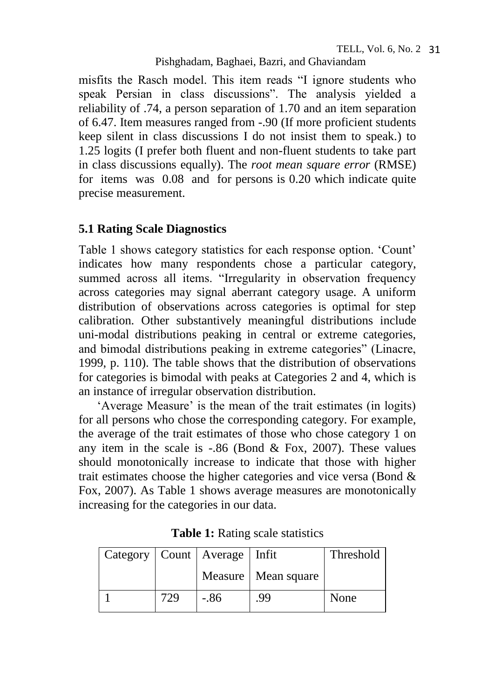misfits the Rasch model. This item reads "I ignore students who speak Persian in class discussions". The analysis yielded a reliability of .74, a person separation of 1.70 and an item separation of 6.47. Item measures ranged from -.90 (If more proficient students keep silent in class discussions I do not insist them to speak.) to 1.25 logits (I prefer both fluent and non-fluent students to take part in class discussions equally). The *root mean square error* (RMSE) for items was 0.08 and for persons is 0.20 which indicate quite precise measurement.

### **5.1 Rating Scale Diagnostics**

Table 1 shows category statistics for each response option. 'Count' indicates how many respondents chose a particular category, summed across all items. "Irregularity in observation frequency across categories may signal aberrant category usage. A uniform distribution of observations across categories is optimal for step calibration. Other substantively meaningful distributions include uni-modal distributions peaking in central or extreme categories, and bimodal distributions peaking in extreme categories" (Linacre, 1999, p. 110). The table shows that the distribution of observations for categories is bimodal with peaks at Categories 2 and 4, which is an instance of irregular observation distribution.

'Average Measure' is the mean of the trait estimates (in logits) for all persons who chose the corresponding category. For example, the average of the trait estimates of those who chose category 1 on any item in the scale is  $-.86$  (Bond & Fox, 2007). These values should monotonically increase to indicate that those with higher trait estimates choose the higher categories and vice versa (Bond & Fox, 2007). As Table 1 shows average measures are monotonically increasing for the categories in our data.

|     | Category   Count   Average   Infit |                       | Threshold |
|-----|------------------------------------|-----------------------|-----------|
|     |                                    | Measure   Mean square |           |
| 729 | -.86                               | .99                   | None      |

**Table 1:** Rating scale statistics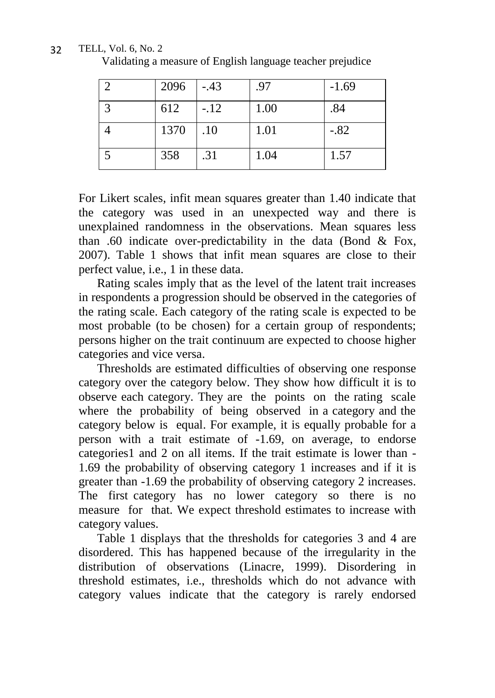|              | 2096 | $-.43$ | .97  | $-1.69$ |
|--------------|------|--------|------|---------|
| $\mathbf{c}$ | 612  | $-.12$ | 1.00 | .84     |
|              | 1370 | .10    | 1.01 | $-.82$  |
|              | 358  | .31    | 1.04 | 1.57    |

Validating a measure of English language teacher prejudice

For Likert scales, infit mean squares greater than 1.40 indicate that the category was used in an unexpected way and there is unexplained randomness in the observations. Mean squares less than .60 indicate over-predictability in the data (Bond & Fox, 2007). Table 1 shows that infit mean squares are close to their perfect value, i.e., 1 in these data.

Rating scales imply that as the level of the latent trait increases in respondents a progression should be observed in the categories of the rating scale. Each category of the rating scale is expected to be most probable (to be chosen) for a certain group of respondents; persons higher on the trait continuum are expected to choose higher categories and vice versa.

Thresholds are estimated difficulties of observing one response category over the category below. They show how difficult it is to observe each category. They are the points on the rating scale where the probability of being observed in a category and the category below is equal. For example, it is equally probable for a person with a trait estimate of -1.69, on average, to endorse categories1 and 2 on all items. If the trait estimate is lower than - 1.69 the probability of observing category 1 increases and if it is greater than -1.69 the probability of observing category 2 increases. The first category has no lower category so there is no measure for that. We expect threshold estimates to increase with category values.

Table 1 displays that the thresholds for categories 3 and 4 are disordered. This has happened because of the irregularity in the distribution of observations (Linacre, 1999). Disordering in threshold estimates, i.e., thresholds which do not advance with category values indicate that the category is rarely endorsed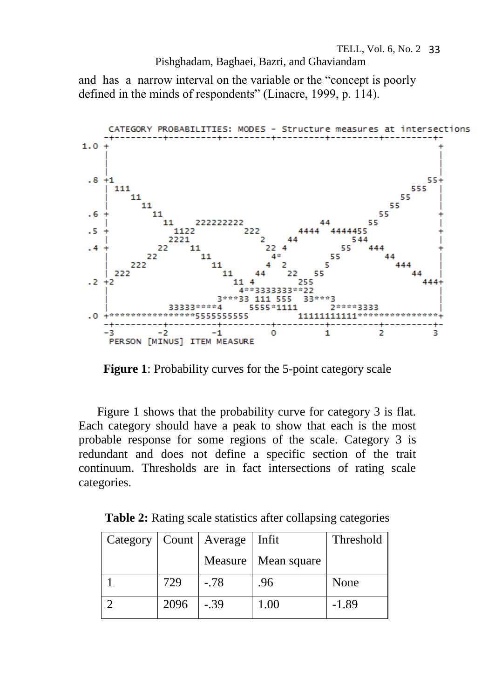and has a narrow interval on the variable or the "concept is poorly defined in the minds of respondents" (Linacre, 1999, p. 114).



**Figure 1**: Probability curves for the 5-point category scale

Figure 1 shows that the probability curve for category 3 is flat. Each category should have a peak to show that each is the most probable response for some regions of the scale. Category 3 is redundant and does not define a specific section of the trait continuum. Thresholds are in fact intersections of rating scale categories.

**Table 2:** Rating scale statistics after collapsing categories

| Category   Count   Average |      |         | Infit       | Threshold |  |
|----------------------------|------|---------|-------------|-----------|--|
|                            |      | Measure | Mean square |           |  |
|                            | 729  | $-78$   | .96         | None      |  |
|                            | 2096 | $-0.39$ | 1.00        | $-1.89$   |  |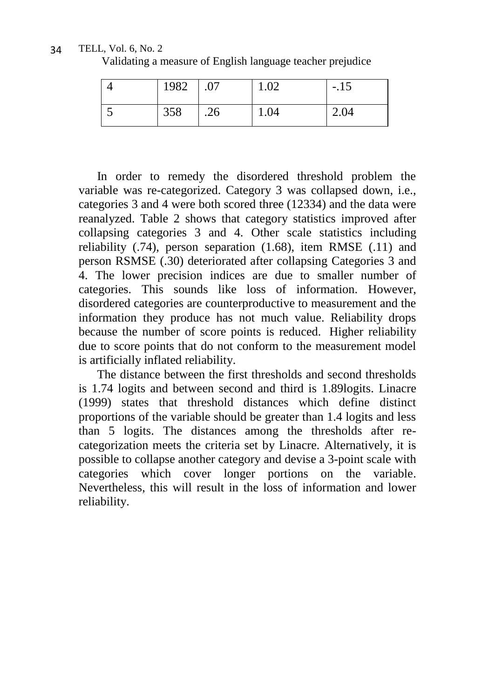TELL, Vol. 6, No. 2 34

Validating a measure of English language teacher prejudice

| 1982 |     | 1.02 | $-.15$ |
|------|-----|------|--------|
| 358  | .26 | 1.04 | 2.04   |

In order to remedy the disordered threshold problem the variable was re-categorized. Category 3 was collapsed down, i.e., categories 3 and 4 were both scored three (12334) and the data were reanalyzed. Table 2 shows that category statistics improved after collapsing categories 3 and 4. Other scale statistics including reliability (.74), person separation (1.68), item RMSE (.11) and person RSMSE (.30) deteriorated after collapsing Categories 3 and 4. The lower precision indices are due to smaller number of categories. This sounds like loss of information. However, disordered categories are counterproductive to measurement and the information they produce has not much value. Reliability drops because the number of score points is reduced. Higher reliability due to score points that do not conform to the measurement model is artificially inflated reliability.

The distance between the first thresholds and second thresholds is 1.74 logits and between second and third is 1.89logits. Linacre (1999) states that threshold distances which define distinct proportions of the variable should be greater than 1.4 logits and less than 5 logits. The distances among the thresholds after recategorization meets the criteria set by Linacre. Alternatively, it is possible to collapse another category and devise a 3-point scale with categories which cover longer portions on the variable. Nevertheless, this will result in the loss of information and lower reliability.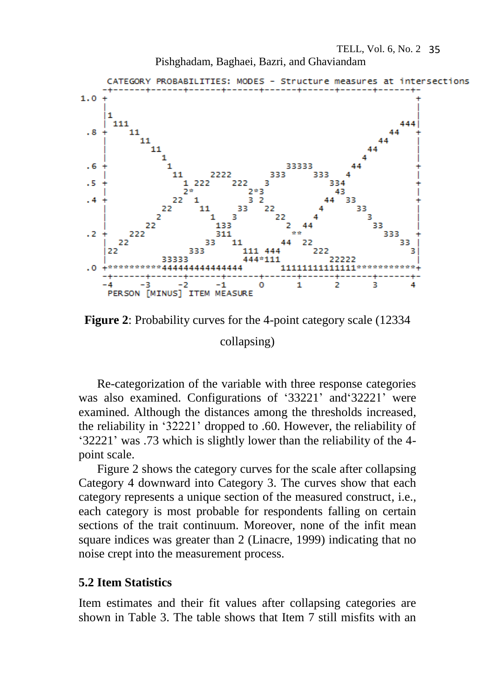Pishghadam, Baghaei, Bazri, and Ghaviandam





Re-categorization of the variable with three response categories was also examined. Configurations of '33221' and'32221' were examined. Although the distances among the thresholds increased, the reliability in '32221' dropped to .60. However, the reliability of '32221' was .73 which is slightly lower than the reliability of the 4 point scale.

Figure 2 shows the category curves for the scale after collapsing Category 4 downward into Category 3. The curves show that each category represents a unique section of the measured construct, i.e., each category is most probable for respondents falling on certain sections of the trait continuum. Moreover, none of the infit mean square indices was greater than 2 (Linacre, 1999) indicating that no noise crept into the measurement process.

#### **5.2 Item Statistics**

Item estimates and their fit values after collapsing categories are shown in Table 3. The table shows that Item 7 still misfits with an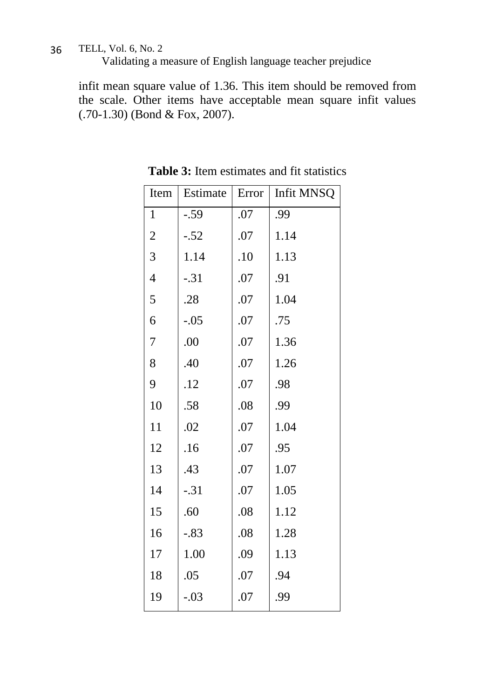Validating a measure of English language teacher prejudice

infit mean square value of 1.36. This item should be removed from the scale. Other items have acceptable mean square infit values (.70-1.30) (Bond & Fox, 2007).

| Item             | Estimate | Error | Infit MNSQ |
|------------------|----------|-------|------------|
| $\mathbf{1}$     | $-.59$   | .07   | .99        |
| $\overline{c}$   | $-.52$   | .07   | 1.14       |
| 3                | 1.14     | .10   | 1.13       |
| $\overline{4}$   | $-.31$   | .07   | .91        |
| $\mathfrak s$    | .28      | .07   | 1.04       |
| 6                | $-.05$   | .07   | .75        |
| $\boldsymbol{7}$ | .00      | .07   | 1.36       |
| $\,8$            | .40      | .07   | 1.26       |
| 9                | .12      | .07   | .98        |
| 10               | .58      | .08   | .99        |
| 11               | .02      | .07   | 1.04       |
| 12               | .16      | .07   | .95        |
| 13               | .43      | .07   | 1.07       |
| 14               | $-.31$   | .07   | 1.05       |
| 15               | .60      | .08   | 1.12       |
| 16               | $-.83$   | .08   | 1.28       |
| 17               | 1.00     | .09   | 1.13       |
| 18               | .05      | .07   | .94        |
| 19               | $-.03$   | .07   | .99        |

**Table 3:** Item estimates and fit statistics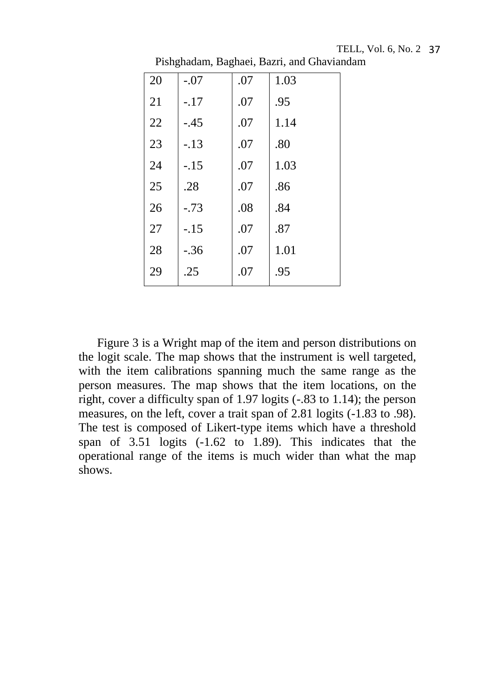| 20 | $-.07$ | .07 | 1.03 |
|----|--------|-----|------|
| 21 | $-17$  | .07 | .95  |
| 22 | $-.45$ | .07 | 1.14 |
| 23 | $-13$  | .07 | .80  |
| 24 | $-.15$ | .07 | 1.03 |
| 25 | .28    | .07 | .86  |
| 26 | $-73$  | .08 | .84  |
| 27 | $-.15$ | .07 | .87  |
| 28 | $-.36$ | .07 | 1.01 |
| 29 | .25    | .07 | .95  |

Pishghadam, Baghaei, Bazri, and Ghaviandam

Figure 3 is a Wright map of the item and person distributions on the logit scale. The map shows that the instrument is well targeted, with the item calibrations spanning much the same range as the person measures. The map shows that the item locations, on the right, cover a difficulty span of 1.97 logits (-.83 to 1.14); the person measures, on the left, cover a trait span of 2.81 logits (-1.83 to .98). The test is composed of Likert-type items which have a threshold span of 3.51 logits (-1.62 to 1.89). This indicates that the operational range of the items is much wider than what the map shows.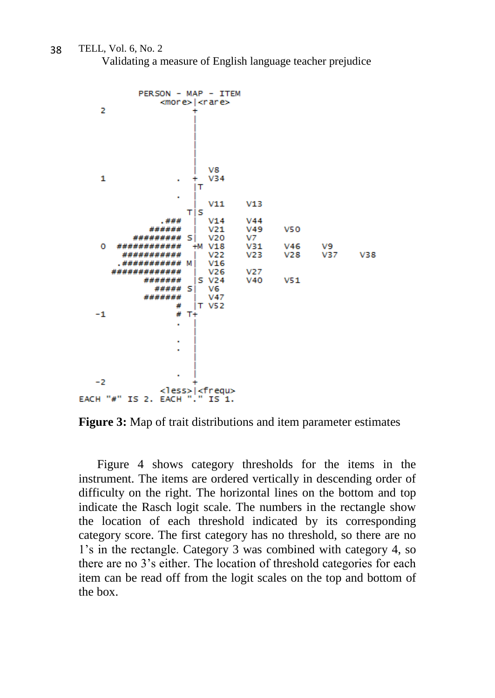Validating a measure of English language teacher prejudice



**Figure 3:** Map of trait distributions and item parameter estimates

Figure 4 shows category thresholds for the items in the instrument. The items are ordered vertically in descending order of difficulty on the right. The horizontal lines on the bottom and top indicate the Rasch logit scale. The numbers in the rectangle show the location of each threshold indicated by its corresponding category score. The first category has no threshold, so there are no 1's in the rectangle. Category 3 was combined with category 4, so there are no 3's either. The location of threshold categories for each item can be read off from the logit scales on the top and bottom of the box.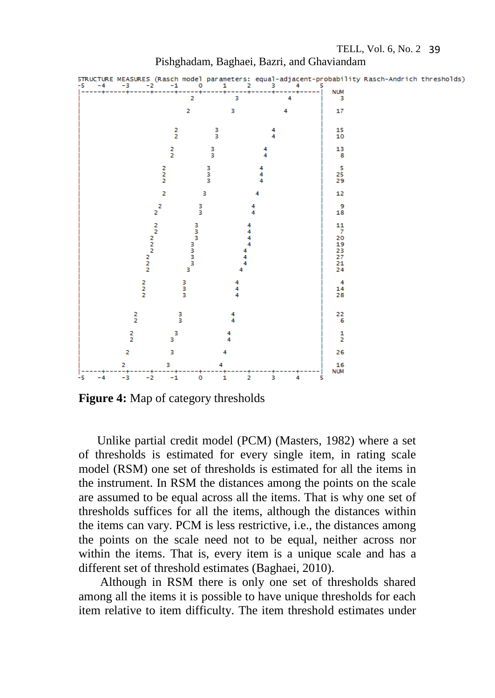

Pishghadam, Baghaei, Bazri, and Ghaviandam

**Figure 4:** Map of category thresholds

Unlike partial credit model (PCM) (Masters, 1982) where a set of thresholds is estimated for every single item, in rating scale model (RSM) one set of thresholds is estimated for all the items in the instrument. In RSM the distances among the points on the scale are assumed to be equal across all the items. That is why one set of thresholds suffices for all the items, although the distances within the items can vary. PCM is less restrictive, i.e., the distances among the points on the scale need not to be equal, neither across nor within the items. That is, every item is a unique scale and has a different set of threshold estimates (Baghaei, 2010).

Although in RSM there is only one set of thresholds shared among all the items it is possible to have unique thresholds for each item relative to item difficulty. The item threshold estimates under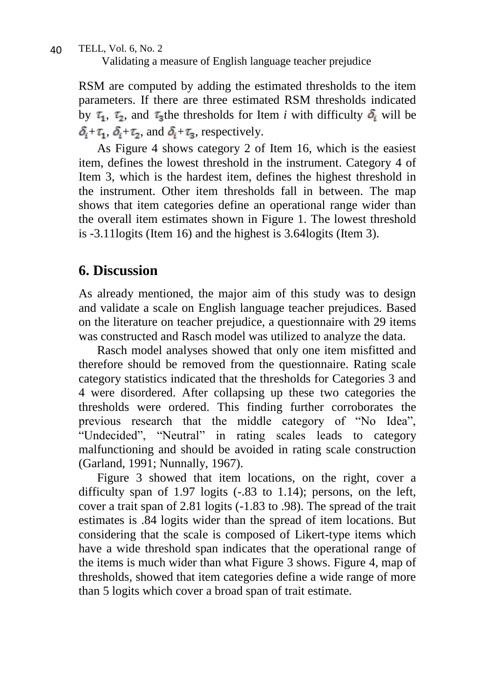Validating a measure of English language teacher prejudice

RSM are computed by adding the estimated thresholds to the item parameters. If there are three estimated RSM thresholds indicated by  $\tau_1$ ,  $\tau_2$ , and  $\tau_3$ the thresholds for Item *i* with difficulty  $\delta_i$  will be  $\delta_i + \tau_1$ ,  $\delta_i + \tau_2$ , and  $\delta_i + \tau_3$ , respectively.

As Figure 4 shows category 2 of Item 16, which is the easiest item, defines the lowest threshold in the instrument. Category 4 of Item 3, which is the hardest item, defines the highest threshold in the instrument. Other item thresholds fall in between. The map shows that item categories define an operational range wider than the overall item estimates shown in Figure 1. The lowest threshold is -3.11logits (Item 16) and the highest is 3.64logits (Item 3).

## **6. Discussion**

As already mentioned, the major aim of this study was to design and validate a scale on English language teacher prejudices. Based on the literature on teacher prejudice, a questionnaire with 29 items was constructed and Rasch model was utilized to analyze the data.

Rasch model analyses showed that only one item misfitted and therefore should be removed from the questionnaire. Rating scale category statistics indicated that the thresholds for Categories 3 and 4 were disordered. After collapsing up these two categories the thresholds were ordered. This finding further corroborates the previous research that the middle category of "No Idea", "Undecided", "Neutral" in rating scales leads to category malfunctioning and should be avoided in rating scale construction (Garland, 1991; Nunnally, 1967).

Figure 3 showed that item locations, on the right, cover a difficulty span of 1.97 logits (-.83 to 1.14); persons, on the left, cover a trait span of 2.81 logits (-1.83 to .98). The spread of the trait estimates is .84 logits wider than the spread of item locations. But considering that the scale is composed of Likert-type items which have a wide threshold span indicates that the operational range of the items is much wider than what Figure 3 shows. Figure 4, map of thresholds, showed that item categories define a wide range of more than 5 logits which cover a broad span of trait estimate.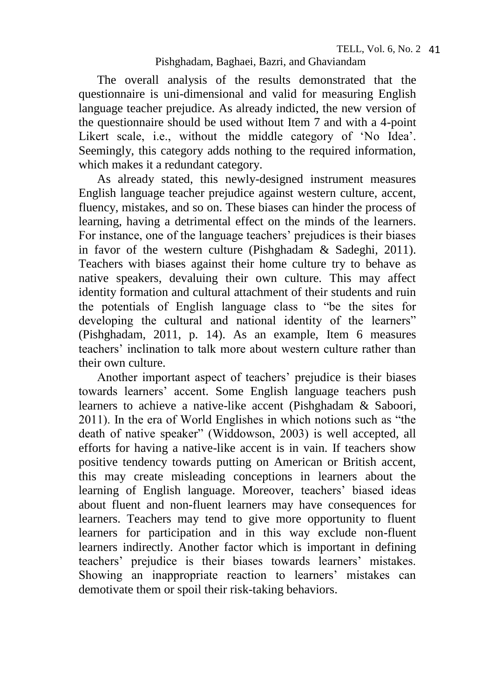The overall analysis of the results demonstrated that the questionnaire is uni-dimensional and valid for measuring English language teacher prejudice. As already indicted, the new version of the questionnaire should be used without Item 7 and with a 4-point Likert scale, i.e., without the middle category of 'No Idea'. Seemingly, this category adds nothing to the required information, which makes it a redundant category.

As already stated, this newly-designed instrument measures English language teacher prejudice against western culture, accent, fluency, mistakes, and so on. These biases can hinder the process of learning, having a detrimental effect on the minds of the learners. For instance, one of the language teachers' prejudices is their biases in favor of the western culture (Pishghadam & Sadeghi, 2011). Teachers with biases against their home culture try to behave as native speakers, devaluing their own culture. This may affect identity formation and cultural attachment of their students and ruin the potentials of English language class to "be the sites for developing the cultural and national identity of the learners" (Pishghadam, 2011, p. 14). As an example, Item 6 measures teachers' inclination to talk more about western culture rather than their own culture.

Another important aspect of teachers' prejudice is their biases towards learners' accent. Some English language teachers push learners to achieve a native-like accent (Pishghadam & Saboori, 2011). In the era of World Englishes in which notions such as "the death of native speaker" (Widdowson, 2003) is well accepted, all efforts for having a native-like accent is in vain. If teachers show positive tendency towards putting on American or British accent, this may create misleading conceptions in learners about the learning of English language. Moreover, teachers' biased ideas about fluent and non-fluent learners may have consequences for learners. Teachers may tend to give more opportunity to fluent learners for participation and in this way exclude non-fluent learners indirectly. Another factor which is important in defining teachers' prejudice is their biases towards learners' mistakes. Showing an inappropriate reaction to learners' mistakes can demotivate them or spoil their risk-taking behaviors.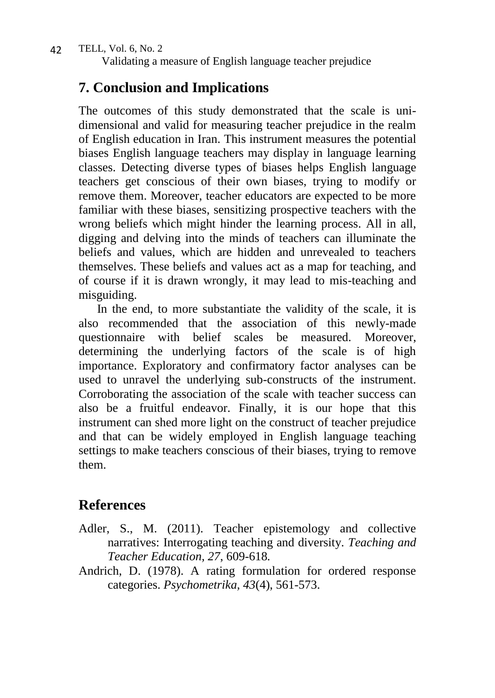Validating a measure of English language teacher prejudice

## **7. Conclusion and Implications**

The outcomes of this study demonstrated that the scale is unidimensional and valid for measuring teacher prejudice in the realm of English education in Iran. This instrument measures the potential biases English language teachers may display in language learning classes. Detecting diverse types of biases helps English language teachers get conscious of their own biases, trying to modify or remove them. Moreover, teacher educators are expected to be more familiar with these biases, sensitizing prospective teachers with the wrong beliefs which might hinder the learning process. All in all, digging and delving into the minds of teachers can illuminate the beliefs and values, which are hidden and unrevealed to teachers themselves. These beliefs and values act as a map for teaching, and of course if it is drawn wrongly, it may lead to mis-teaching and misguiding.

In the end, to more substantiate the validity of the scale, it is also recommended that the association of this newly-made questionnaire with belief scales be measured. Moreover, determining the underlying factors of the scale is of high importance. Exploratory and confirmatory factor analyses can be used to unravel the underlying sub-constructs of the instrument. Corroborating the association of the scale with teacher success can also be a fruitful endeavor. Finally, it is our hope that this instrument can shed more light on the construct of teacher prejudice and that can be widely employed in English language teaching settings to make teachers conscious of their biases, trying to remove them.

# **References**

- Adler, S., M. (2011). Teacher epistemology and collective narratives: Interrogating teaching and diversity. *Teaching and Teacher Education, 27*, 609-618*.*
- Andrich, D. (1978). A rating formulation for ordered response categories. *Psychometrika, 43*(4), 561-573.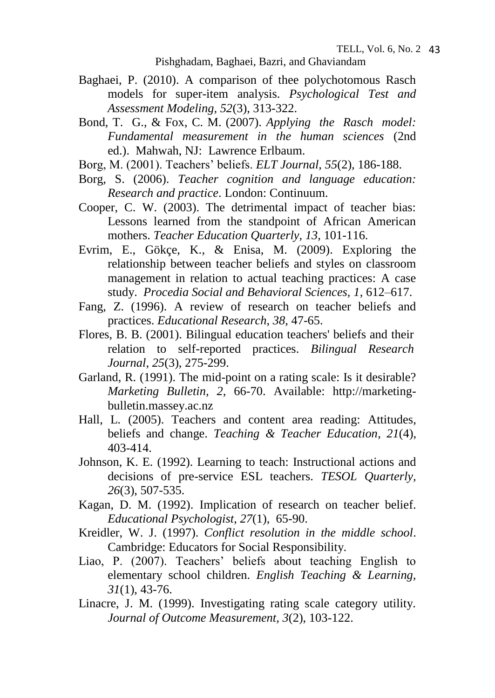- Baghaei, P. (2010). A comparison of thee polychotomous Rasch models for super-item analysis. *Psychological Test and Assessment Modeling, 52*(3), 313-322.
- Bond, T. G., & Fox, C. M. (2007). *Applying the Rasch model: Fundamental measurement in the human sciences* (2nd ed.). Mahwah, NJ: Lawrence Erlbaum.
- Borg, M. (2001). Teachers' beliefs. *ELT Journal, 55*(2)*,* 186-188.
- Borg, S. (2006). *Teacher cognition and language education: Research and practice*. London: Continuum.
- Cooper, C. W. (2003). The detrimental impact of teacher bias: Lessons learned from the standpoint of African American mothers. *Teacher Education Quarterly, 13*, 101-116.
- Evrim, E., Gökçe, K., & Enisa, M. (2009). Exploring the relationship between teacher beliefs and styles on classroom management in relation to actual teaching practices: A case study. *Procedia Social and Behavioral Sciences, 1*, 612–617.
- Fang, Z. (1996). A review of research on teacher beliefs and practices. *Educational Research*, *38*, 47-65.
- [Flores,](http://www.tandfonline.com/action/doSearch?action=runSearch&type=advanced&result=true&prevSearch=%2Bauthorsfield%3A(Flores%2C+Belinda+Bustos)) B. B. (2001). Bilingual education teachers' beliefs and their relation to self-reported practices. *Bilingual Research Journal*, *25*(3), 275-299.
- Garland, R. (1991). The mid-point on a rating scale: Is it desirable? *Marketing Bulletin, 2*, 66-70. Available: http://marketingbulletin.massey.ac.nz
- Hall, L. (2005). Teachers and content area reading: Attitudes, beliefs and change. *Teaching & Teacher Education*, *21*(4), 403-414.
- Johnson, K. E. (1992). Learning to teach: Instructional actions and decisions of pre-service ESL teachers. *TESOL Quarterly, 26*(3), 507-535.
- Kagan, D. M. (1992). Implication of research on teacher belief. *Educational Psychologist*, *[27](http://www.tandfonline.com/loi/hedp20?open=27#vol_27)*(1), 65-90.
- Kreidler, W. J. (1997). *Conflict resolution in the middle school*. Cambridge: Educators for Social Responsibility.
- Liao, P. (2007). Teachers' beliefs about teaching English to elementary school children. *English Teaching & Learning, 31*(1), 43-76.
- Linacre, J. M. (1999). Investigating rating scale category utility. *Journal of Outcome Measurement, 3*(2), 103-122.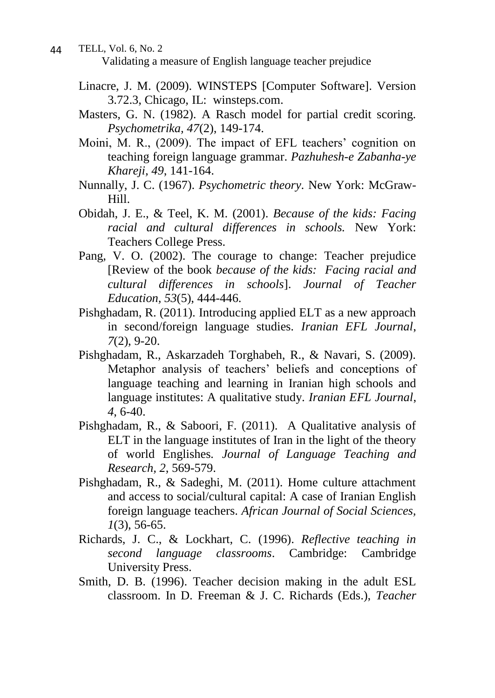- TELL, Vol. 6, No. 2 Validating a measure of English language teacher prejudice 44
	- Linacre, J. M. (2009). WINSTEPS [Computer Software]. Version 3.72.3, Chicago, IL: winsteps.com.
	- Masters, G. N. (1982). A Rasch model for partial credit scoring. *Psychometrika, 47*(2), 149-174.
	- Moini, M. R., (2009). The impact of EFL teachers' cognition on teaching foreign language grammar. *Pazhuhesh-e Zabanha-ye Khareji, 49*, 141-164.
	- Nunnally, J. C. (1967). *Psychometric theory*. New York: McGraw-Hill.
	- Obidah, J. E., & Teel, K. M. (2001). *Because of the kids: Facing racial and cultural differences in schools.* New York: Teachers College Press.
	- Pang, V. O. (2002). The courage to change: Teacher prejudice [Review of the book *because of the kids: Facing racial and cultural differences in schools*]. *Journal of Teacher Education, 53*(5), 444-446.
	- Pishghadam, R. (2011). Introducing applied ELT as a new approach in second/foreign language studies. *Iranian EFL Journal*, *7*(2), 9-20.
	- Pishghadam, R., Askarzadeh Torghabeh, R., & Navari, S. (2009). Metaphor analysis of teachers' beliefs and conceptions of language teaching and learning in Iranian high schools and language institutes: A qualitative study. *Iranian EFL Journal*, *4*, 6-40.
	- Pishghadam, R., & Saboori, F. (2011). A Qualitative analysis of ELT in the language institutes of Iran in the light of the theory of world Englishes*. Journal of Language Teaching and Research, 2*, 569-579.
	- Pishghadam, R., & Sadeghi, M. (2011). Home culture attachment and access to social/cultural capital: A case of Iranian English foreign language teachers. *African Journal of Social Sciences, 1*(3), 56-65.
	- Richards, J. C., & Lockhart, C. (1996). *Reflective teaching in second language classrooms*. Cambridge: Cambridge University Press.
	- Smith, D. B. (1996). Teacher decision making in the adult ESL classroom. In D. Freeman & J. C. Richards (Eds.), *Teacher*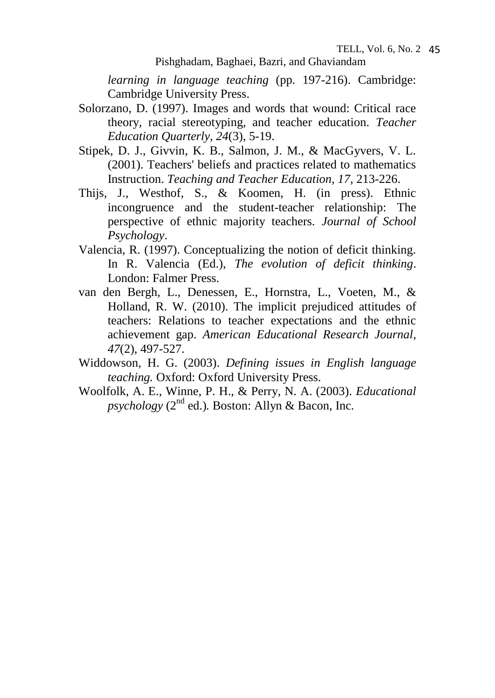*learning in language teaching* (pp. 197-216). Cambridge: Cambridge University Press.

- Solorzano, D. (1997). Images and words that wound: Critical race theory, racial stereotyping, and teacher education. *Teacher Education Quarterly, 24*(3), 5-19.
- Stipek, D. J., Givvin, K. B., Salmon, J. M., & MacGyvers, V. L. (2001). Teachers' beliefs and practices related to mathematics Instruction. *Teaching and Teacher Education, 17*, 213-226.
- Thijs, J., Westhof, S., & Koomen, H. (in press). Ethnic incongruence and the student-teacher relationship: The perspective of ethnic majority teachers. *Journal of School Psychology*.
- Valencia, R. (1997). Conceptualizing the notion of deficit thinking. In R. Valencia (Ed.), *The evolution of deficit thinking*. London: Falmer Press.
- van den Bergh, L., Denessen, E., Hornstra, L., Voeten, M., & Holland, R. W. (2010). The implicit prejudiced attitudes of teachers: Relations to teacher expectations and the ethnic achievement gap. *American Educational Research Journal*, *47*(2), 497-527.
- Widdowson, H. G. (2003). *Defining issues in English language teaching.* Oxford: Oxford University Press.
- Woolfolk, A. E., Winne, P. H., & Perry, N. A. (2003). *Educational*   $p$ *sychology* ( $2<sup>nd</sup>$  ed.). Boston: Allyn & Bacon, Inc.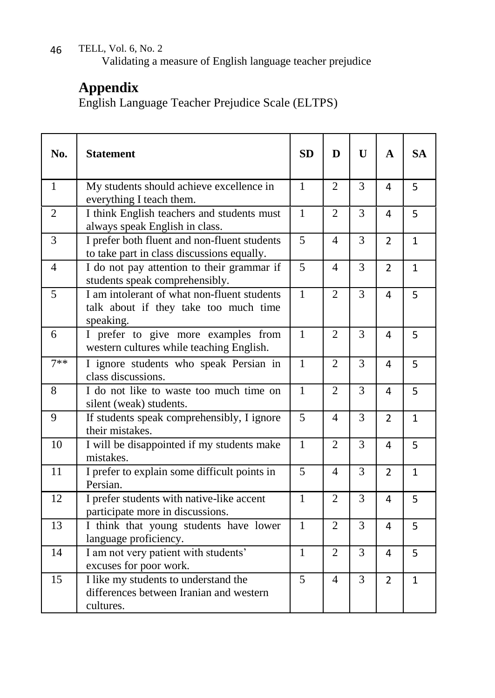Validating a measure of English language teacher prejudice

# **Appendix**

English Language Teacher Prejudice Scale (ELTPS)

| No.            | <b>Statement</b>                                                                                  | <b>SD</b>      | D                        | $\mathbf{U}$ | $\mathbf{A}$   | <b>SA</b>    |
|----------------|---------------------------------------------------------------------------------------------------|----------------|--------------------------|--------------|----------------|--------------|
| $\mathbf{1}$   | My students should achieve excellence in<br>everything I teach them.                              | $\mathbf{1}$   | 2                        | 3            | 4              | 5            |
| $\overline{2}$ | I think English teachers and students must<br>always speak English in class.                      | $\mathbf{1}$   | $\overline{2}$           | 3            | 4              | 5            |
| 3              | I prefer both fluent and non-fluent students<br>to take part in class discussions equally.        | 5              | $\overline{\mathcal{A}}$ | 3            | $\overline{2}$ | $\mathbf{1}$ |
| $\overline{4}$ | I do not pay attention to their grammar if<br>students speak comprehensibly.                      | 5              | $\overline{4}$           | 3            | $\overline{2}$ | $\mathbf{1}$ |
| 5              | I am intolerant of what non-fluent students<br>talk about if they take too much time<br>speaking. | $\mathbf{1}$   | $\overline{2}$           | 3            | 4              | 5            |
| 6              | I prefer to give more examples from<br>western cultures while teaching English.                   | $\mathbf{1}$   | $\overline{2}$           | 3            | 4              | 5            |
| $7**$          | I ignore students who speak Persian in<br>class discussions.                                      | $\mathbf{1}$   | $\overline{2}$           | 3            | 4              | 5            |
| 8              | I do not like to waste too much time on<br>silent (weak) students.                                | $\mathbf{1}$   | $\overline{2}$           | 3            | 4              | 5            |
| 9              | If students speak comprehensibly, I ignore<br>their mistakes.                                     | 5              | $\overline{4}$           | 3            | $\overline{2}$ | $\mathbf{1}$ |
| 10             | I will be disappointed if my students make<br>mistakes.                                           | $\mathbf{1}$   | $\overline{2}$           | 3            | 4              | 5            |
| 11             | I prefer to explain some difficult points in<br>Persian.                                          | $\overline{5}$ | $\overline{\mathcal{L}}$ | 3            | $\overline{2}$ | $\mathbf{1}$ |
| 12             | I prefer students with native-like accent<br>participate more in discussions.                     | $\overline{1}$ | $\overline{2}$           | 3            | 4              | 5            |
| 13             | I think that young students have lower<br>language proficiency.                                   | $\mathbf{1}$   | $\overline{2}$           | 3            | 4              | 5            |
| 14             | I am not very patient with students'<br>excuses for poor work.                                    | $\mathbf{1}$   | $\overline{2}$           | 3            | 4              | 5            |
| 15             | I like my students to understand the<br>differences between Iranian and western<br>cultures.      | 5              | 4                        | 3            | $\overline{2}$ | $\mathbf{1}$ |